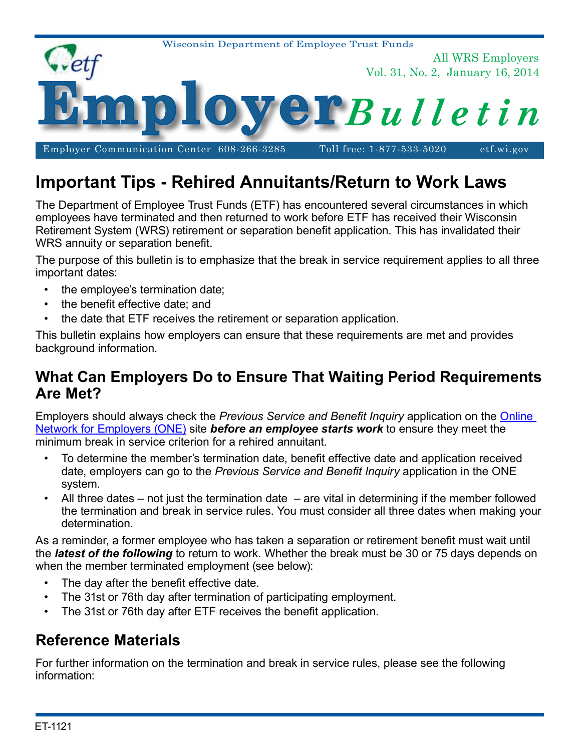

# **Important Tips - Rehired Annuitants/Return to Work Laws**

The Department of Employee Trust Funds (ETF) has encountered several circumstances in which employees have terminated and then returned to work before ETF has received their Wisconsin Retirement System (WRS) retirement or separation benefit application. This has invalidated their WRS annuity or separation benefit.

The purpose of this bulletin is to emphasize that the break in service requirement applies to all three important dates:

- the employee's termination date;
- the benefit effective date; and
- the date that ETF receives the retirement or separation application.

This bulletin explains how employers can ensure that these requirements are met and provides background information.

## **What Can Employers Do to Ensure That Waiting Period Requirements Are Met?**

Employers should always check the *Previous Service and Benefit Inquiry* application on the [Online](http://etfonline.wi.gov/etf/internet/employer/one.html)  [Network for Employers \(ONE\)](http://etfonline.wi.gov/etf/internet/employer/one.html) site *before an employee starts work* to ensure they meet the minimum break in service criterion for a rehired annuitant.

- To determine the member's termination date, benefit effective date and application received date, employers can go to the *Previous Service and Benefit Inquiry* application in the ONE system.
- All three dates not just the termination date are vital in determining if the member followed the termination and break in service rules. You must consider all three dates when making your determination.

As a reminder, a former employee who has taken a separation or retirement benefit must wait until the *latest of the following* to return to work. Whether the break must be 30 or 75 days depends on when the member terminated employment (see below):

- The day after the benefit effective date.
- The 31st or 76th day after termination of participating employment.
- The 31st or 76th day after ETF receives the benefit application.

# **Reference Materials**

For further information on the termination and break in service rules, please see the following information: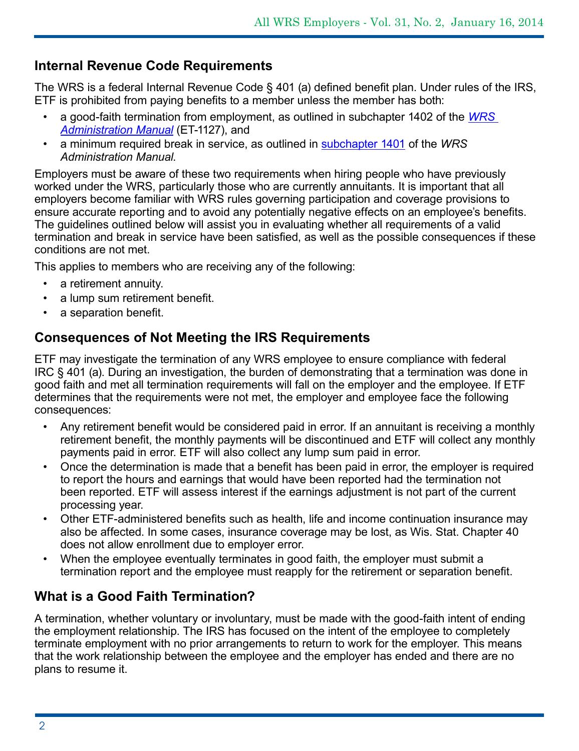### **Internal Revenue Code Requirements**

The WRS is a federal Internal Revenue Code § 401 (a) defined benefit plan. Under rules of the IRS, ETF is prohibited from paying benefits to a member unless the member has both:

- a good-faith termination from employment, as outlined in subchapter 1402 of the *[WRS](http://etf.wi.gov/employers/manual_wrs.htm)  [Administration Manual](http://etf.wi.gov/employers/manual_wrs.htm)* (ET-1127), and
- a minimum required break in service, as outlined in [subchapter 1401](http://etf.wi.gov/employers/wrschap14.pdf) of the *WRS Administration Manual*.

Employers must be aware of these two requirements when hiring people who have previously worked under the WRS, particularly those who are currently annuitants. It is important that all employers become familiar with WRS rules governing participation and coverage provisions to ensure accurate reporting and to avoid any potentially negative effects on an employee's benefits. The guidelines outlined below will assist you in evaluating whether all requirements of a valid termination and break in service have been satisfied, as well as the possible consequences if these conditions are not met.

This applies to members who are receiving any of the following:

- a retirement annuity.
- a lump sum retirement benefit.
- a separation benefit.

#### **Consequences of Not Meeting the IRS Requirements**

ETF may investigate the termination of any WRS employee to ensure compliance with federal IRC § 401 (a). During an investigation, the burden of demonstrating that a termination was done in good faith and met all termination requirements will fall on the employer and the employee. If ETF determines that the requirements were not met, the employer and employee face the following consequences:

- Any retirement benefit would be considered paid in error. If an annuitant is receiving a monthly retirement benefit, the monthly payments will be discontinued and ETF will collect any monthly payments paid in error. ETF will also collect any lump sum paid in error.
- Once the determination is made that a benefit has been paid in error, the employer is required to report the hours and earnings that would have been reported had the termination not been reported. ETF will assess interest if the earnings adjustment is not part of the current processing year.
- Other ETF-administered benefits such as health, life and income continuation insurance may also be affected. In some cases, insurance coverage may be lost, as Wis. Stat. Chapter 40 does not allow enrollment due to employer error.
- When the employee eventually terminates in good faith, the employer must submit a termination report and the employee must reapply for the retirement or separation benefit.

### **What is a Good Faith Termination?**

A termination, whether voluntary or involuntary, must be made with the good-faith intent of ending the employment relationship. The IRS has focused on the intent of the employee to completely terminate employment with no prior arrangements to return to work for the employer. This means that the work relationship between the employee and the employer has ended and there are no plans to resume it.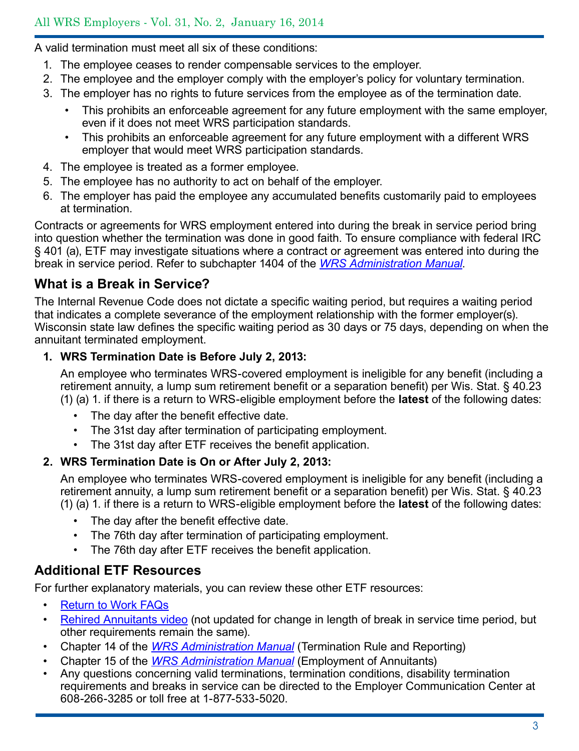A valid termination must meet all six of these conditions:

- 1. The employee ceases to render compensable services to the employer.
- 2. The employee and the employer comply with the employer's policy for voluntary termination.
- 3. The employer has no rights to future services from the employee as of the termination date.
	- This prohibits an enforceable agreement for any future employment with the same employer, even if it does not meet WRS participation standards.
	- This prohibits an enforceable agreement for any future employment with a different WRS employer that would meet WRS participation standards.
- 4. The employee is treated as a former employee.
- 5. The employee has no authority to act on behalf of the employer.
- 6. The employer has paid the employee any accumulated benefits customarily paid to employees at termination.

Contracts or agreements for WRS employment entered into during the break in service period bring into question whether the termination was done in good faith. To ensure compliance with federal IRC § 401 (a), ETF may investigate situations where a contract or agreement was entered into during the break in service period. Refer to subchapter 1404 of the *[WRS Administration Manual](http://etf.wi.gov/employers/manual_wrs.htm)*.

## **What is a Break in Service?**

The Internal Revenue Code does not dictate a specific waiting period, but requires a waiting period that indicates a complete severance of the employment relationship with the former employer(s). Wisconsin state law defines the specific waiting period as 30 days or 75 days, depending on when the annuitant terminated employment.

#### **1. WRS Termination Date is Before July 2, 2013:**

An employee who terminates WRS-covered employment is ineligible for any benefit (including a retirement annuity, a lump sum retirement benefit or a separation benefit) per Wis. Stat. § 40.23 (1) (a) 1. if there is a return to WRS-eligible employment before the **latest** of the following dates:

- The day after the benefit effective date.
- The 31st day after termination of participating employment.
- The 31st day after ETF receives the benefit application.

#### **2. WRS Termination Date is On or After July 2, 2013:**

An employee who terminates WRS-covered employment is ineligible for any benefit (including a retirement annuity, a lump sum retirement benefit or a separation benefit) per Wis. Stat. § 40.23 (1) (a) 1. if there is a return to WRS-eligible employment before the **latest** of the following dates:

- The day after the benefit effective date.
- The 76th day after termination of participating employment.
- The 76th day after ETF receives the benefit application.

### **Additional ETF Resources**

For further explanatory materials, you can review these other ETF resources:

- [Return to Work FAQs](http://etf.wi.gov/news/ht-act20faqs.htm)
- [Rehired Annuitants video](http://etfmedia.wi.gov/main/Play/8bac20c5e9f64be58c76f080e674d2d51d?catalog=b4984f06-1bb7-4b12-a21a-4a49e0340616) (not updated for change in length of break in service time period, but other requirements remain the same).
- Chapter 14 of the *[WRS Administration Manual](http://etf.wi.gov/employers/manual_wrs.htm)* (Termination Rule and Reporting)
- Chapter 15 of the *[WRS Administration Manual](http://etf.wi.gov/employers/manual_wrs.htm)* (Employment of Annuitants)
- Any questions concerning valid terminations, termination conditions, disability termination requirements and breaks in service can be directed to the Employer Communication Center at 608-266-3285 or toll free at 1-877-533-5020.